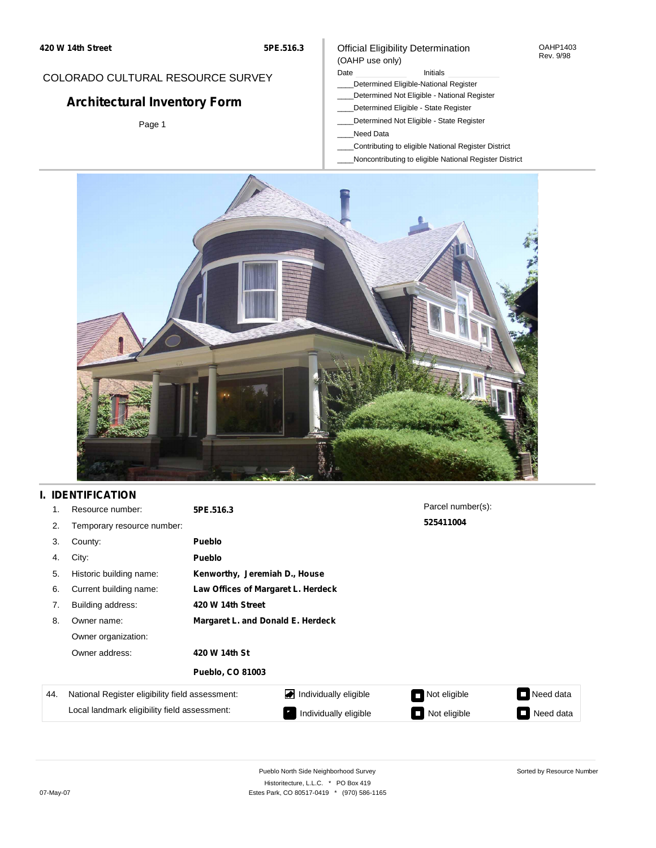#### OAHP1403 Rev. 9/98

### COLORADO CULTURAL RESOURCE SURVEY

# **Architectural Inventory Form**

Page 1

# (OAHP use only)

Date **Initials** Initials \_\_\_\_Determined Eligible-National Register

Official Eligibility Determination

- \_\_\_\_Determined Not Eligible National Register
- \_\_\_\_Determined Eligible State Register
- \_\_\_\_Determined Not Eligible State Register
- \_\_\_\_Need Data
- \_\_\_\_Contributing to eligible National Register District
- \_\_\_\_Noncontributing to eligible National Register District



## **I. IDENTIFICATION**

| 1.  | Resource number:                                | 5PE.516.3                         |                                    | Parcel number(s): |                                       |  |  |  |
|-----|-------------------------------------------------|-----------------------------------|------------------------------------|-------------------|---------------------------------------|--|--|--|
| 2.  | Temporary resource number:                      |                                   |                                    | 525411004         |                                       |  |  |  |
| 3.  | County:                                         | <b>Pueblo</b>                     |                                    |                   |                                       |  |  |  |
| 4.  | City:                                           | <b>Pueblo</b>                     |                                    |                   |                                       |  |  |  |
| 5.  | Historic building name:                         |                                   | Kenworthy, Jeremiah D., House      |                   |                                       |  |  |  |
| 6.  | Current building name:                          |                                   | Law Offices of Margaret L. Herdeck |                   |                                       |  |  |  |
| 7.  | Building address:                               | 420 W 14th Street                 |                                    |                   |                                       |  |  |  |
| 8.  | Owner name:                                     | Margaret L. and Donald E. Herdeck |                                    |                   |                                       |  |  |  |
|     | Owner organization:                             |                                   |                                    |                   |                                       |  |  |  |
|     | Owner address:                                  | 420 W 14th St                     |                                    |                   |                                       |  |  |  |
|     |                                                 | <b>Pueblo, CO 81003</b>           |                                    |                   |                                       |  |  |  |
| 44. | National Register eligibility field assessment: |                                   | Individually eligible              | Not eligible      | Need data<br>$\overline{\phantom{a}}$ |  |  |  |
|     | Local landmark eligibility field assessment:    |                                   | Individually eligible              | Not eligible      | Need data                             |  |  |  |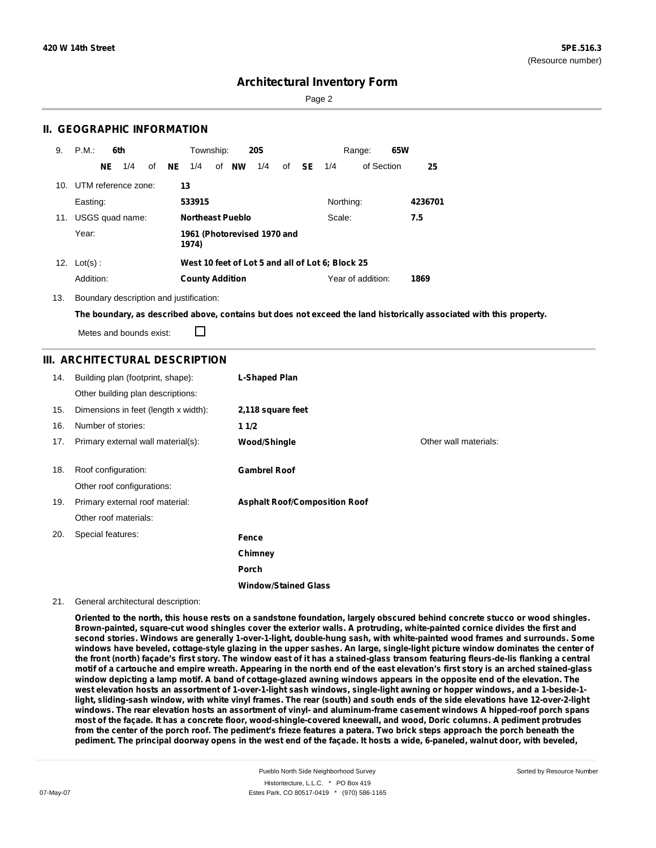Sorted by Resource Number

## **Architectural Inventory Form**

Page 2

### **II. GEOGRAPHIC INFORMATION**

| 9.  | P.M.                |     | 6th             |    |           | Township:               |       | <b>20S</b>                  |              |                                                  | Range:            | 65W |         |
|-----|---------------------|-----|-----------------|----|-----------|-------------------------|-------|-----------------------------|--------------|--------------------------------------------------|-------------------|-----|---------|
|     |                     | NE. | 1/4             | of | <b>NE</b> | 1/4                     | of NW | 1/4                         | of <b>SE</b> | 1/4                                              | of Section        |     | 25      |
| 10. | UTM reference zone: |     |                 |    |           | 13                      |       |                             |              |                                                  |                   |     |         |
|     | Easting:            |     |                 |    |           | 533915                  |       |                             |              | Northing:                                        |                   |     | 4236701 |
| 11. |                     |     | USGS quad name: |    |           | <b>Northeast Pueblo</b> |       |                             |              | Scale:                                           |                   |     | 7.5     |
|     | Year:               |     |                 |    |           | 1974)                   |       | 1961 (Photorevised 1970 and |              |                                                  |                   |     |         |
|     | 12. $Lot(s)$ :      |     |                 |    |           |                         |       |                             |              | West 10 feet of Lot 5 and all of Lot 6; Block 25 |                   |     |         |
|     | Addition:           |     |                 |    |           | <b>County Addition</b>  |       |                             |              |                                                  | Year of addition: |     | 1869    |

13. Boundary description and justification:

The boundary, as described above, contains but does not exceed the land historically associated with this property.

Metes and bounds exist:

П

### **III. ARCHITECTURAL DESCRIPTION**

| 14. | Building plan (footprint, shape):    | L-Shaped Plan                        |                       |
|-----|--------------------------------------|--------------------------------------|-----------------------|
|     | Other building plan descriptions:    |                                      |                       |
| 15. | Dimensions in feet (length x width): | 2,118 square feet                    |                       |
| 16. | Number of stories:                   | 11/2                                 |                       |
| 17. | Primary external wall material(s):   | Wood/Shingle                         | Other wall materials: |
|     |                                      |                                      |                       |
| 18. | Roof configuration:                  | <b>Gambrel Roof</b>                  |                       |
|     | Other roof configurations:           |                                      |                       |
| 19. | Primary external roof material:      | <b>Asphalt Roof/Composition Roof</b> |                       |
|     | Other roof materials:                |                                      |                       |
| 20. | Special features:                    | Fence                                |                       |
|     |                                      | Chimney                              |                       |
|     |                                      | Porch                                |                       |
|     |                                      | <b>Window/Stained Glass</b>          |                       |

#### 21. General architectural description:

Oriented to the north, this house rests on a sandstone foundation, largely obscured behind concrete stucco or wood shingles. Brown-painted, square-cut wood shingles cover the exterior walls. A protruding, white-painted cornice divides the first and second stories. Windows are generally 1-over-1-light, double-hung sash, with white-painted wood frames and surrounds. Some windows have beveled, cottage-style glazing in the upper sashes. An large, single-light picture window dominates the center of the front (north) façade's first story. The window east of it has a stained-glass transom featuring fleurs-de-lis flanking a central motif of a cartouche and empire wreath. Appearing in the north end of the east elevation's first story is an arched stained-glass window depicting a lamp motif. A band of cottage-glazed awning windows appears in the opposite end of the elevation. The west elevation hosts an assortment of 1-over-1-light sash windows, single-light awning or hopper windows, and a 1-beside-1light, sliding-sash window, with white vinyl frames. The rear (south) and south ends of the side elevations have 12-over-2-light windows. The rear elevation hosts an assortment of vinyl- and aluminum-frame casement windows A hipped-roof porch spans most of the façade. It has a concrete floor, wood-shingle-covered kneewall, and wood, Doric columns. A pediment protrudes from the center of the porch roof. The pediment's frieze features a patera. Two brick steps approach the porch beneath the pediment. The principal doorway opens in the west end of the facade. It hosts a wide, 6-paneled, walnut door, with beveled,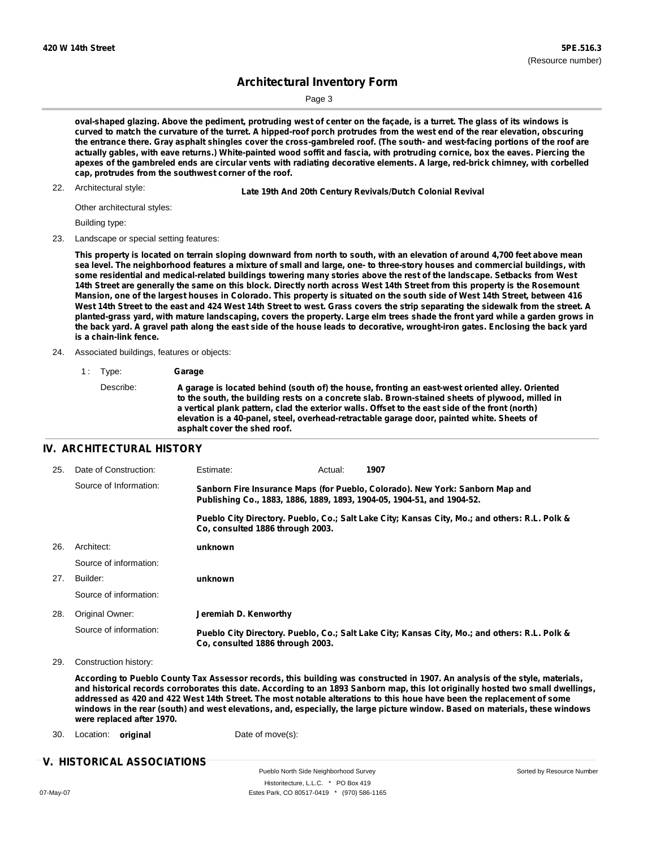Page 3

oval-shaped glazing. Above the pediment, protruding west of center on the façade, is a turret. The glass of its windows is curved to match the curvature of the turret. A hipped-roof porch protrudes from the west end of the rear elevation, obscuring the entrance there. Gray asphalt shingles cover the cross-gambreled roof. (The south- and west-facing portions of the roof are actually gables, with eave returns.) White-painted wood soffit and fascia, with protruding cornice, box the eaves. Piercing the apexes of the gambreled ends are circular vents with radiating decorative elements. A large, red-brick chimney, with corbelled **cap, protrudes from the southwest corner of the roof.**

22. Architectural style:

22. **Late 19th And 20th Century Revivals/Dutch Colonial Revival**

Other architectural styles:

Building type:

23. Landscape or special setting features:

This property is located on terrain sloping downward from north to south, with an elevation of around 4,700 feet above mean sea level. The neighborhood features a mixture of small and large, one- to three-story houses and commercial buildings, with some residential and medical-related buildings towering many stories above the rest of the landscape. Setbacks from West 14th Street are generally the same on this block. Directly north across West 14th Street from this property is the Rosemount Mansion, one of the largest houses in Colorado. This property is situated on the south side of West 14th Street, between 416 West 14th Street to the east and 424 West 14th Street to west. Grass covers the strip separating the sidewalk from the street. A planted-grass yard, with mature landscaping, covers the property. Large elm trees shade the front yard while a garden grows in the back yard. A gravel path along the east side of the house leads to decorative, wrought-iron gates. Enclosing the back yard **is a chain-link fence.**

- 24. Associated buildings, features or objects:
	- 1 : Type: **Garage**

#### **IV. ARCHITECTURAL HISTORY**

| 25. | Date of Construction:  | Estimate:                                                              | Actual: | 1907                                                                                          |
|-----|------------------------|------------------------------------------------------------------------|---------|-----------------------------------------------------------------------------------------------|
|     | Source of Information: | Publishing Co., 1883, 1886, 1889, 1893, 1904-05, 1904-51, and 1904-52. |         | Sanborn Fire Insurance Maps (for Pueblo, Colorado). New York: Sanborn Map and                 |
|     |                        | Co. consulted 1886 through 2003.                                       |         | Pueblo City Directory. Pueblo, Co.; Salt Lake City; Kansas City, Mo.; and others: R.L. Polk & |
| 26. | Architect:             | unknown                                                                |         |                                                                                               |
|     | Source of information: |                                                                        |         |                                                                                               |
| 27. | Builder:               | unknown                                                                |         |                                                                                               |
|     | Source of information: |                                                                        |         |                                                                                               |
| 28. | Original Owner:        | Jeremiah D. Kenworthy                                                  |         |                                                                                               |
|     | Source of information: | Co. consulted 1886 through 2003.                                       |         | Pueblo City Directory. Pueblo, Co.; Salt Lake City; Kansas City, Mo.; and others: R.L. Polk & |

29. Construction history:

According to Pueblo County Tax Assessor records, this building was constructed in 1907. An analysis of the style, materials, and historical records corroborates this date. According to an 1893 Sanborn map, this lot originally hosted two small dwellings, addressed as 420 and 422 West 14th Street. The most notable alterations to this houe have been the replacement of some windows in the rear (south) and west elevations, and, especially, the large picture window. Based on materials, these windows **were replaced after 1970.**

30. Location: **original** Date of move(s):

### **V. HISTORICAL ASSOCIATIONS**

Pueblo North Side Neighborhood Survey Historitecture, L.L.C. \* PO Box 419 07-May-07 Estes Park, CO 80517-0419 \* (970) 586-1165

Describe: **A garage is located behind (south of) the house, fronting an east-west oriented alley. Oriented to the south, the building rests on a concrete slab. Brown-stained sheets of plywood, milled in a vertical plank pattern, clad the exterior walls. Offset to the east side of the front (north) elevation is a 40-panel, steel, overhead-retractable garage door, painted white. Sheets of asphalt cover the shed roof.**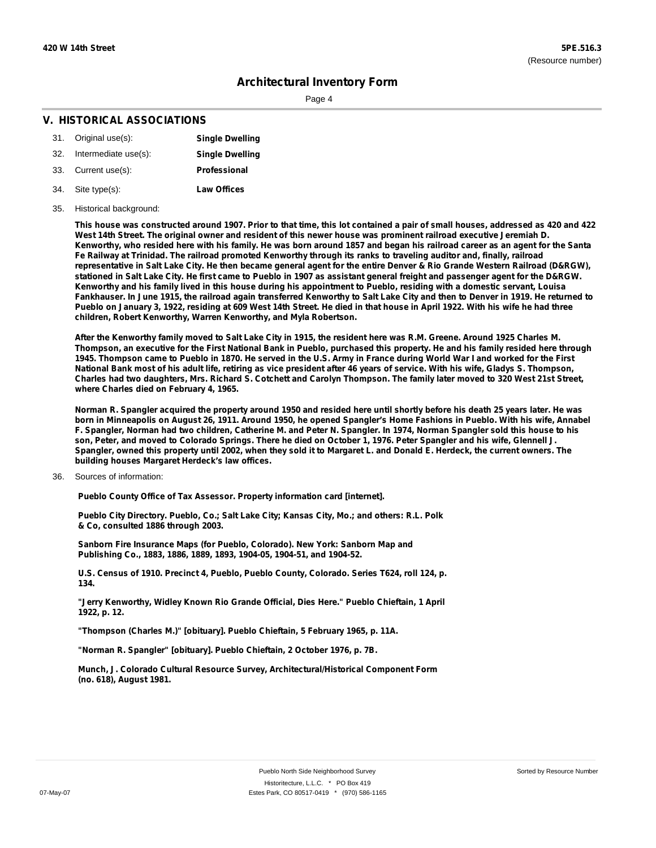Page 4

### **V. HISTORICAL ASSOCIATIONS**

| 31. Original use(s):     | <b>Single Dwelling</b> |
|--------------------------|------------------------|
| 32. Intermediate use(s): | <b>Single Dwelling</b> |
| 33. Current use(s):      | Professional           |
| 34. Site type(s):        | <b>Law Offices</b>     |

#### 35. Historical background:

This house was constructed around 1907. Prior to that time, this lot contained a pair of small houses, addressed as 420 and 422 West 14th Street. The original owner and resident of this newer house was prominent railroad executive Jeremiah D. Kenworthy, who resided here with his family. He was born around 1857 and began his railroad career as an agent for the Santa Fe Railway at Trinidad. The railroad promoted Kenworthy through its ranks to traveling auditor and, finally, railroad representative in Salt Lake City. He then became general agent for the entire Denver & Rio Grande Western Railroad (D&RGW), stationed in Salt Lake City. He first came to Pueblo in 1907 as assistant general freight and passenger agent for the D&RGW. Kenworthy and his family lived in this house during his appointment to Pueblo, residing with a domestic servant, Louisa Fankhauser. In June 1915, the railroad again transferred Kenworthy to Salt Lake City and then to Denver in 1919. He returned to Pueblo on January 3, 1922, residing at 609 West 14th Street. He died in that house in April 1922. With his wife he had three **children, Robert Kenworthy, Warren Kenworthy, and Myla Robertson.**

After the Kenworthy family moved to Salt Lake City in 1915, the resident here was R.M. Greene. Around 1925 Charles M. Thompson, an executive for the First National Bank in Pueblo, purchased this property. He and his family resided here through 1945. Thompson came to Pueblo in 1870. He served in the U.S. Army in France during World War I and worked for the First National Bank most of his adult life, retiring as vice president after 46 years of service. With his wife, Gladys S. Thompson, Charles had two daughters, Mrs. Richard S. Cotchett and Carolyn Thompson. The family later moved to 320 West 21st Street, **where Charles died on February 4, 1965.**

Norman R. Spangler acquired the property around 1950 and resided here until shortly before his death 25 years later. He was born in Minneapolis on August 26, 1911. Around 1950, he opened Spangler's Home Fashions in Pueblo. With his wife, Annabel F. Spangler, Norman had two children, Catherine M. and Peter N. Spangler. In 1974, Norman Spangler sold this house to his son, Peter, and moved to Colorado Springs. There he died on October 1, 1976. Peter Spangler and his wife, Glennell J. Spangler, owned this property until 2002, when they sold it to Margaret L. and Donald E. Herdeck, the current owners. The **building houses Margaret Herdeck's law offices.**

#### 36. Sources of information:

**Pueblo County Office of Tax Assessor. Property information card [internet].**

**Pueblo City Directory. Pueblo, Co.; Salt Lake City; Kansas City, Mo.; and others: R.L. Polk & Co, consulted 1886 through 2003.**

**Sanborn Fire Insurance Maps (for Pueblo, Colorado). New York: Sanborn Map and Publishing Co., 1883, 1886, 1889, 1893, 1904-05, 1904-51, and 1904-52.**

**U.S. Census of 1910. Precinct 4, Pueblo, Pueblo County, Colorado. Series T624, roll 124, p. 134.**

**"Jerry Kenworthy, Widley Known Rio Grande Official, Dies Here." Pueblo Chieftain, 1 April 1922, p. 12.**

**"Thompson (Charles M.)" [obituary]. Pueblo Chieftain, 5 February 1965, p. 11A.**

**"Norman R. Spangler" [obituary]. Pueblo Chieftain, 2 October 1976, p. 7B.**

**Munch, J. Colorado Cultural Resource Survey, Architectural/Historical Component Form (no. 618), August 1981.**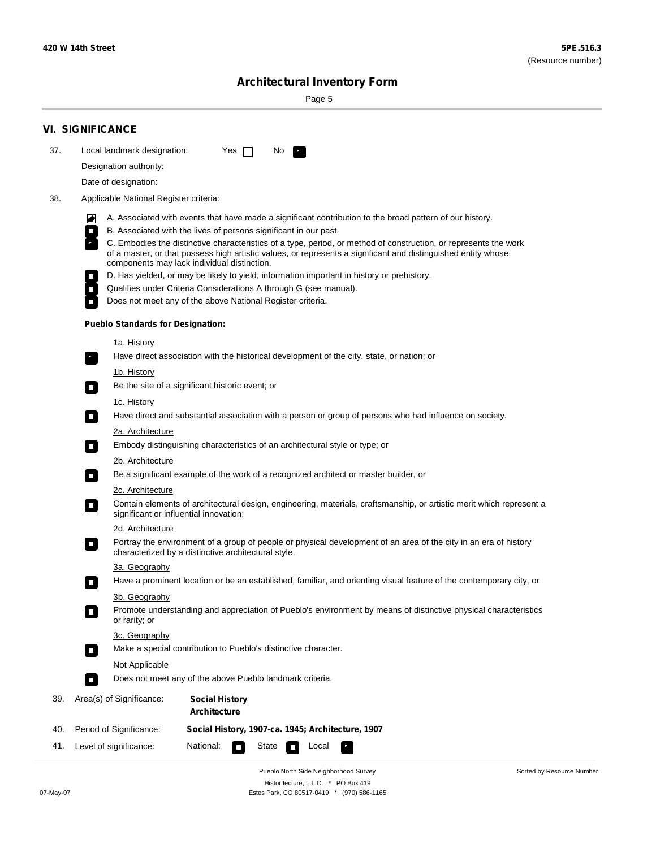**Contract** 

Sorted by Resource Number

## **Architectural Inventory Form**

Page 5

| 37. | <b>VI. SIGNIFICANCE</b>                  |                                                                                                                                                                                                                                                                                  |  |
|-----|------------------------------------------|----------------------------------------------------------------------------------------------------------------------------------------------------------------------------------------------------------------------------------------------------------------------------------|--|
|     |                                          |                                                                                                                                                                                                                                                                                  |  |
|     | Local landmark designation:              | Yes $\Box$<br>$\mathcal{F}_{\rm{in}}$<br>No.                                                                                                                                                                                                                                     |  |
|     | Designation authority:                   |                                                                                                                                                                                                                                                                                  |  |
|     | Date of designation:                     |                                                                                                                                                                                                                                                                                  |  |
| 38. | Applicable National Register criteria:   |                                                                                                                                                                                                                                                                                  |  |
|     | O                                        | A. Associated with events that have made a significant contribution to the broad pattern of our history.                                                                                                                                                                         |  |
|     | $\Box$                                   | B. Associated with the lives of persons significant in our past.                                                                                                                                                                                                                 |  |
|     |                                          | C. Embodies the distinctive characteristics of a type, period, or method of construction, or represents the work<br>of a master, or that possess high artistic values, or represents a significant and distinguished entity whose<br>components may lack individual distinction. |  |
|     |                                          | D. Has yielded, or may be likely to yield, information important in history or prehistory.                                                                                                                                                                                       |  |
|     | $\overline{\phantom{a}}$                 | Qualifies under Criteria Considerations A through G (see manual).                                                                                                                                                                                                                |  |
|     |                                          | Does not meet any of the above National Register criteria.                                                                                                                                                                                                                       |  |
|     | <b>Pueblo Standards for Designation:</b> |                                                                                                                                                                                                                                                                                  |  |
|     | <u>1a. History</u>                       |                                                                                                                                                                                                                                                                                  |  |
|     | $\overline{\phantom{a}}$ .               | Have direct association with the historical development of the city, state, or nation; or                                                                                                                                                                                        |  |
|     | <u>1b. History</u>                       |                                                                                                                                                                                                                                                                                  |  |
|     | $\Box$                                   | Be the site of a significant historic event; or                                                                                                                                                                                                                                  |  |
|     | 1c. History                              |                                                                                                                                                                                                                                                                                  |  |
|     | $\blacksquare$                           | Have direct and substantial association with a person or group of persons who had influence on society.                                                                                                                                                                          |  |
|     | 2a. Architecture<br>О                    | Embody distinguishing characteristics of an architectural style or type; or                                                                                                                                                                                                      |  |
|     | <u>2b. Architecture</u>                  |                                                                                                                                                                                                                                                                                  |  |
|     | $\Box$                                   | Be a significant example of the work of a recognized architect or master builder, or                                                                                                                                                                                             |  |
|     | 2c. Architecture                         |                                                                                                                                                                                                                                                                                  |  |
|     | $\Box$                                   | Contain elements of architectural design, engineering, materials, craftsmanship, or artistic merit which represent a<br>significant or influential innovation;                                                                                                                   |  |
|     | 2d. Architecture                         |                                                                                                                                                                                                                                                                                  |  |
|     | $\Box$                                   | Portray the environment of a group of people or physical development of an area of the city in an era of history<br>characterized by a distinctive architectural style.                                                                                                          |  |
|     | 3a. Geography                            |                                                                                                                                                                                                                                                                                  |  |
|     |                                          | Have a prominent location or be an established, familiar, and orienting visual feature of the contemporary city, or                                                                                                                                                              |  |
|     | 3b. Geography                            |                                                                                                                                                                                                                                                                                  |  |
|     | $\Box$<br>or rarity; or                  | Promote understanding and appreciation of Pueblo's environment by means of distinctive physical characteristics                                                                                                                                                                  |  |
|     | 3c. Geography<br>$\blacksquare$          | Make a special contribution to Pueblo's distinctive character.                                                                                                                                                                                                                   |  |
|     | <b>Not Applicable</b>                    |                                                                                                                                                                                                                                                                                  |  |
|     | П                                        | Does not meet any of the above Pueblo landmark criteria.                                                                                                                                                                                                                         |  |
| 39. | Area(s) of Significance:                 | <b>Social History</b><br>Architecture                                                                                                                                                                                                                                            |  |
| 40. | Period of Significance:                  | Social History, 1907-ca. 1945; Architecture, 1907                                                                                                                                                                                                                                |  |
|     |                                          |                                                                                                                                                                                                                                                                                  |  |

Pueblo North Side Neighborhood Survey Historitecture, L.L.C. \* PO Box 419 07-May-07 Estes Park, CO 80517-0419 \* (970) 586-1165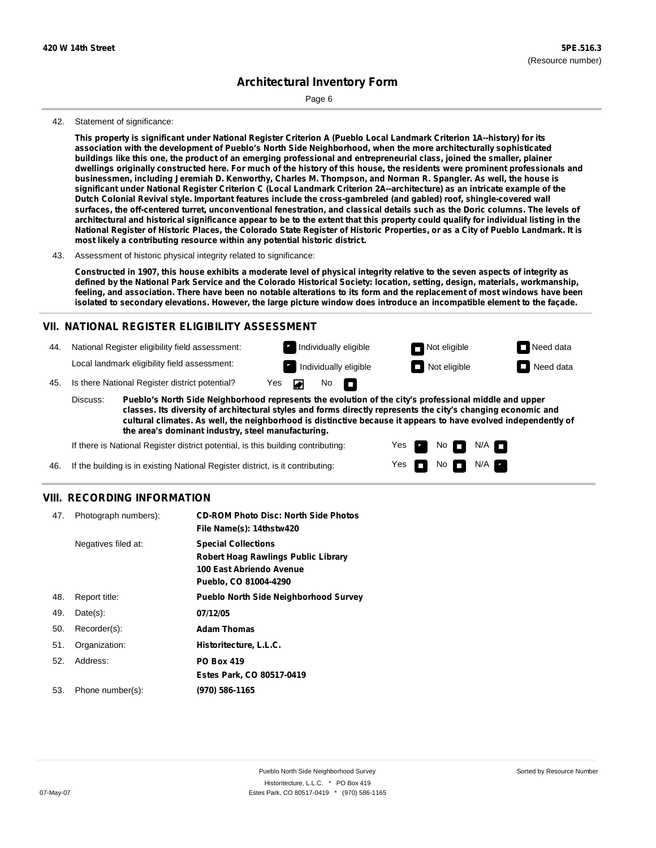Page 6

#### 42. Statement of significance:

This property is significant under National Register Criterion A (Pueblo Local Landmark Criterion 1A--history) for its **association with the development of Pueblo's North Side Neighborhood, when the more architecturally sophisticated** buildings like this one, the product of an emerging professional and entrepreneurial class, joined the smaller, plainer dwellings originally constructed here. For much of the history of this house, the residents were prominent professionals and businessmen, including Jeremiah D. Kenworthy, Charles M. Thompson, and Norman R. Spangler. As well, the house is significant under National Register Criterion C (Local Landmark Criterion 2A--architecture) as an intricate example of the **Dutch Colonial Revival style. Important features include the cross-gambreled (and gabled) roof, shingle-covered wall** surfaces, the off-centered turret, unconventional fenestration, and classical details such as the Doric columns. The levels of architectural and historical significance appear to be to the extent that this property could qualify for individual listing in the National Register of Historic Places, the Colorado State Register of Historic Properties, or as a City of Pueblo Landmark. It is **most likely a contributing resource within any potential historic district.**

#### 43. Assessment of historic physical integrity related to significance:

Constructed in 1907, this house exhibits a moderate level of physical integrity relative to the seven aspects of integrity as defined by the National Park Service and the Colorado Historical Society: location, setting, design, materials, workmanship, feeling, and association. There have been no notable alterations to its form and the replacement of most windows have been isolated to secondary elevations. However, the large picture window does introduce an incompatible element to the façade.

### **VII. NATIONAL REGISTER ELIGIBILITY ASSESSMENT**



**Pueblo's North Side Neighborhood represents the evolution of the city's professional middle and upper classes. Its diversity of architectural styles and forms directly represents the city's changing economic and cultural climates. As well, the neighborhood is distinctive because it appears to have evolved independently of the area's dominant industry, steel manufacturing.**

> Yes Yes

No **D** N/A  $N$  No  $N/A$   $\blacksquare$ 

If there is National Register district potential, is this building contributing:

If the building is in existing National Register district, is it contributing: 46.

#### **VIII. RECORDING INFORMATION**

| 47. | Photograph numbers): | <b>CD-ROM Photo Disc: North Side Photos</b><br>File Name(s): 14thstw420                                                       |
|-----|----------------------|-------------------------------------------------------------------------------------------------------------------------------|
|     | Negatives filed at:  | <b>Special Collections</b><br><b>Robert Hoag Rawlings Public Library</b><br>100 East Abriendo Avenue<br>Pueblo, CO 81004-4290 |
| 48. | Report title:        | <b>Pueblo North Side Neighborhood Survey</b>                                                                                  |
| 49. | $Date(s)$ :          | 07/12/05                                                                                                                      |
| 50. | Recorder(s):         | <b>Adam Thomas</b>                                                                                                            |
| 51. | Organization:        | Historitecture, L.L.C.                                                                                                        |
| 52. | Address:             | <b>PO Box 419</b>                                                                                                             |
|     |                      | Estes Park, CO 80517-0419                                                                                                     |
| 53. | Phone number(s):     | (970) 586-1165                                                                                                                |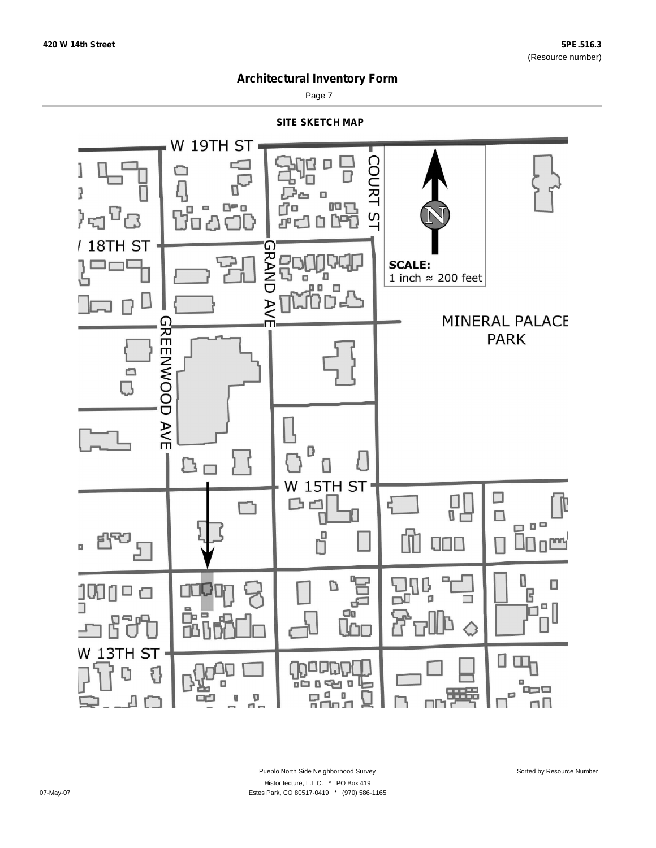

Page 7